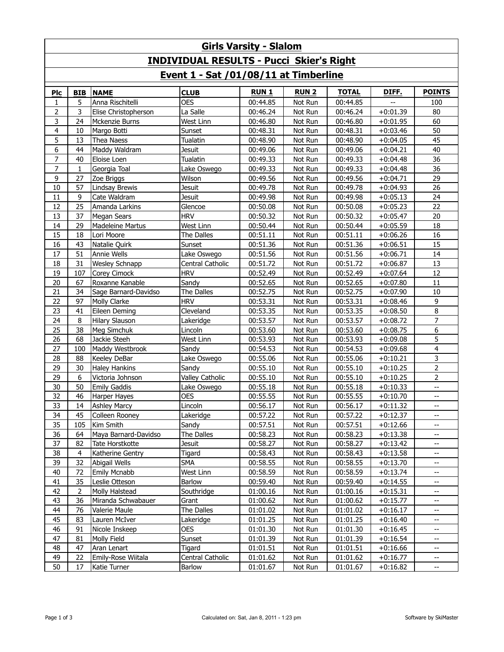| <b>Girls Varsity - Slalom</b>                   |              |                         |                        |             |             |              |            |                          |  |
|-------------------------------------------------|--------------|-------------------------|------------------------|-------------|-------------|--------------|------------|--------------------------|--|
| <b>INDIVIDUAL RESULTS - Pucci Skier's Right</b> |              |                         |                        |             |             |              |            |                          |  |
| Event 1 - Sat /01/08/11 at Timberline           |              |                         |                        |             |             |              |            |                          |  |
| Plc                                             | <b>BIB</b>   | <b>NAME</b>             | <b>CLUB</b>            | <b>RUN1</b> | <b>RUN2</b> | <b>TOTAL</b> | DIFF.      | <b>POINTS</b>            |  |
| 1                                               | 5            | Anna Rischitelli        | <b>OES</b>             | 00:44.85    | Not Run     | 00:44.85     |            | 100                      |  |
| 2                                               | 3            | Elise Christopherson    | La Salle               | 00:46.24    | Not Run     | 00:46.24     | $+0:01.39$ | 80                       |  |
| 3                                               | 24           | Mckenzie Burns          | West Linn              | 00:46.80    | Not Run     | 00:46.80     | $+0:01.95$ | 60                       |  |
| 4                                               | 10           | Margo Botti             | Sunset                 | 00:48.31    | Not Run     | 00:48.31     | $+0:03.46$ | 50                       |  |
| 5                                               | 13           | Thea Naess              | Tualatin               | 00:48.90    | Not Run     | 00:48.90     | $+0:04.05$ | 45                       |  |
| 6                                               | 44           | Maddy Waldram           | <b>Jesuit</b>          | 00:49.06    | Not Run     | 00:49.06     | $+0:04.21$ | 40                       |  |
| 7                                               | 40           | Eloise Loen             | <b>Tualatin</b>        | 00:49.33    | Not Run     | 00:49.33     | $+0:04.48$ | 36                       |  |
| 7                                               | $\mathbf{1}$ | Georgia Toal            | Lake Oswego            | 00:49.33    | Not Run     | 00:49.33     | $+0:04.48$ | 36                       |  |
| 9                                               | 27           | Zoe Briggs              | Wilson                 | 00:49.56    | Not Run     | 00:49.56     | $+0:04.71$ | 29                       |  |
| 10                                              | 57           | Lindsay Brewis          | Jesuit                 | 00:49.78    | Not Run     | 00:49.78     | $+0:04.93$ | 26                       |  |
| 11                                              | 9            | Cate Waldram            | <b>Jesuit</b>          | 00:49.98    | Not Run     | 00:49.98     | $+0:05.13$ | 24                       |  |
| 12                                              | 25           | Amanda Larkins          | Glencoe                | 00:50.08    | Not Run     | 00:50.08     | $+0:05.23$ | 22                       |  |
| 13                                              | 37           | <b>Megan Sears</b>      | <b>HRV</b>             | 00:50.32    | Not Run     | 00:50.32     | $+0:05.47$ | 20                       |  |
| 14                                              | 29           | <b>Madeleine Martus</b> | West Linn              | 00:50.44    | Not Run     | 00:50.44     | $+0:05.59$ | 18                       |  |
| 15                                              | 18           | Lori Moore              | The Dalles             | 00:51.11    | Not Run     | 00:51.11     | $+0:06.26$ | 16                       |  |
| 16                                              | 43           | Natalie Quirk           | Sunset                 | 00:51.36    | Not Run     | 00:51.36     | $+0:06.51$ | 15                       |  |
| 17                                              | 51           | <b>Annie Wells</b>      | Lake Oswego            | 00:51.56    | Not Run     | 00:51.56     | $+0:06.71$ | 14                       |  |
| 18                                              | 31           | <b>Wesley Schnapp</b>   | Central Catholic       | 00:51.72    | Not Run     | 00:51.72     | $+0:06.87$ | 13                       |  |
| 19                                              | 107          | <b>Corey Cimock</b>     | <b>HRV</b>             | 00:52.49    | Not Run     | 00:52.49     | $+0:07.64$ | 12                       |  |
| 20                                              | 67           | Roxanne Kanable         | Sandy                  | 00:52.65    | Not Run     | 00:52.65     | $+0:07.80$ | 11                       |  |
| 21                                              | 34           | Sage Barnard-Davidso    | The Dalles             | 00:52.75    | Not Run     | 00:52.75     | $+0:07.90$ | 10                       |  |
| 22                                              | 97           | Molly Clarke            | <b>HRV</b>             | 00:53.31    | Not Run     | 00:53.31     | $+0:08.46$ | 9                        |  |
| 23                                              | 41           | Eileen Deming           | Cleveland              | 00:53.35    | Not Run     | 00:53.35     | $+0:08.50$ | $\,8\,$                  |  |
| 24                                              | 8            | <b>Hilary Slauson</b>   | Lakeridge              | 00:53.57    | Not Run     | 00:53.57     | $+0:08.72$ | $\overline{7}$           |  |
| 25                                              | 38           | Meg Simchuk             | Lincoln                | 00:53.60    | Not Run     | 00:53.60     | $+0:08.75$ | 6                        |  |
| 26                                              | 68           | Jackie Steeh            | West Linn              | 00:53.93    | Not Run     | 00:53.93     | $+0:09.08$ | 5                        |  |
| 27                                              | 100          | Maddy Westbrook         | Sandy                  | 00:54.53    | Not Run     | 00:54.53     | $+0:09.68$ | $\overline{4}$           |  |
| 28                                              | 88           | Keeley DeBar            | Lake Oswego            | 00:55.06    | Not Run     | 00:55.06     | $+0:10.21$ | 3                        |  |
| 29                                              | 30           | <b>Haley Hankins</b>    | Sandy                  | 00:55.10    | Not Run     | 00:55.10     | $+0:10.25$ | $\overline{2}$           |  |
| 29                                              | 6            | Victoria Johnson        | <b>Valley Catholic</b> | 00:55.10    | Not Run     | 00:55.10     | $+0:10.25$ | $\overline{2}$           |  |
| 30                                              | 50           | <b>Emily Gaddis</b>     | Lake Oswego            | 00:55.18    | Not Run     | 00:55.18     | $+0:10.33$ | L.                       |  |
| 32                                              | 46           | Harper Hayes            | <b>OES</b>             | 00:55.55    | Not Run     | 00:55.55     | $+0:10.70$ | --                       |  |
| 33                                              | 14           | <b>Ashley Marcy</b>     | Lincoln                | 00:56.17    | Not Run     | 00:56.17     | $+0:11.32$ | --                       |  |
| 34                                              | 45           | Colleen Rooney          | Lakeridge              | 00:57.22    | Not Run     | 00:57.22     | $+0:12.37$ | $\overline{\phantom{a}}$ |  |
| 35                                              | 105          | Kim Smith               | Sandy                  | 00:57.51    | Not Run     | 00:57.51     | $+0:12.66$ | --                       |  |
| 36                                              | 64           | Maya Barnard-Davidso    | The Dalles             | 00:58.23    | Not Run     | 00:58.23     | $+0:13.38$ | ÷                        |  |
| 37                                              | 82           | Tate Horstkotte         | Jesuit                 | 00:58.27    | Not Run     | 00:58.27     | $+0:13.42$ |                          |  |
| 38                                              | 4            | Katherine Gentry        | Tigard                 | 00:58.43    | Not Run     | 00:58.43     | $+0:13.58$ |                          |  |
| 39                                              | 32           | Abigail Wells           | SMA                    | 00:58.55    | Not Run     | 00:58.55     | $+0:13.70$ | --                       |  |
| 40                                              | 72           | Emily Mcnabb            | West Linn              | 00:58.59    | Not Run     | 00:58.59     | $+0:13.74$ | --                       |  |
| 41                                              | 35           | Leslie Otteson          | Barlow                 | 00:59.40    | Not Run     | 00:59.40     | $+0:14.55$ |                          |  |
| 42                                              | $\mathbf 2$  | Molly Halstead          | Southridge             | 01:00.16    | Not Run     | 01:00.16     | $+0:15.31$ | --                       |  |
| 43                                              | 36           | Miranda Schwabauer      | Grant                  | 01:00.62    | Not Run     | 01:00.62     | $+0:15.77$ |                          |  |
| 44                                              | 76           | Valerie Maule           | The Dalles             | 01:01.02    | Not Run     | 01:01.02     | $+0:16.17$ | --                       |  |
| 45                                              | 83           | Lauren McIver           | Lakeridge              | 01:01.25    | Not Run     | 01:01.25     | $+0:16.40$ | --                       |  |
| 46                                              | 91           | Nicole Inskeep          | OES                    | 01:01.30    | Not Run     | 01:01.30     | $+0:16.45$ | --                       |  |
| 47                                              | 81           | Molly Field             | Sunset                 | 01:01.39    | Not Run     | 01:01.39     | $+0:16.54$ | --                       |  |
| 48                                              | 47           | Aran Lenart             | Tigard                 | 01:01.51    | Not Run     | 01:01.51     | $+0.16.66$ | --                       |  |
| 49                                              | 22           | Emily-Rose Wiitala      | Central Catholic       | 01:01.62    | Not Run     | 01:01.62     | $+0:16.77$ | -−                       |  |
| 50                                              | 17           | Katie Turner            | Barlow                 | 01:01.67    | Not Run     | 01:01.67     | $+0:16.82$ | --                       |  |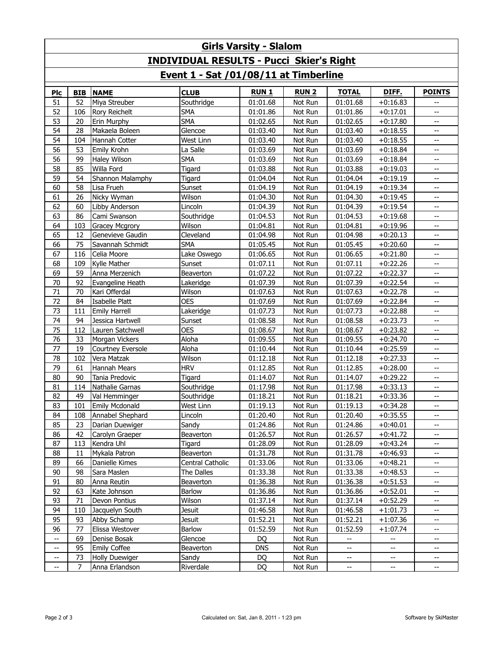| <b>Girls Varsity - Slalom</b>                   |            |                       |                  |             |             |                          |                                               |                                       |
|-------------------------------------------------|------------|-----------------------|------------------|-------------|-------------|--------------------------|-----------------------------------------------|---------------------------------------|
| <b>INDIVIDUAL RESULTS - Pucci Skier's Right</b> |            |                       |                  |             |             |                          |                                               |                                       |
| Event 1 - Sat /01/08/11 at Timberline           |            |                       |                  |             |             |                          |                                               |                                       |
| Plc                                             | <b>BIB</b> | <b>NAME</b>           | <b>CLUB</b>      | <b>RUN1</b> | <b>RUN2</b> | <b>TOTAL</b>             | DIFF.                                         | <b>POINTS</b>                         |
| 51                                              | 52         | Miya Streuber         | Southridge       | 01:01.68    | Not Run     | 01:01.68                 | $+0:16.83$                                    |                                       |
| 52                                              | 106        | Rory Reichelt         | <b>SMA</b>       | 01:01.86    | Not Run     | 01:01.86                 | $+0:17.01$                                    | $-$                                   |
| 53                                              | 20         | Erin Murphy           | <b>SMA</b>       | 01:02.65    | Not Run     | 01:02.65                 | $+0:17.80$                                    | --                                    |
| 54                                              | 28         | Makaela Boleen        | Glencoe          | 01:03.40    | Not Run     | 01:03.40                 | $+0:18.55$                                    | --                                    |
| 54                                              | 104        | Hannah Cotter         | West Linn        | 01:03.40    | Not Run     | 01:03.40                 | $+0:18.55$                                    | $-$                                   |
| 56                                              | 53         | Emily Krohn           | La Salle         | 01:03.69    | Not Run     | 01:03.69                 | $+0:18.84$                                    | $\overline{a}$                        |
| 56                                              | 99         | <b>Haley Wilson</b>   | <b>SMA</b>       | 01:03.69    | Not Run     | 01:03.69                 | $+0:18.84$                                    | $\mathrel{{-}-}$                      |
| 58                                              | 85         | Willa Ford            | Tigard           | 01:03.88    | Not Run     | 01:03.88                 | $+0:19.03$                                    | $\overline{\phantom{a}}$              |
| 59                                              | 54         | Shannon Malamphy      | Tigard           | 01:04.04    | Not Run     | 01:04.04                 | $+0:19.19$                                    | $\overline{\phantom{a}}$              |
| 60                                              | 58         | Lisa Frueh            | Sunset           | 01:04.19    | Not Run     | 01:04.19                 | $+0:19.34$                                    | $\overline{\phantom{a}}$              |
| 61                                              | 26         | Nicky Wyman           | Wilson           | 01:04.30    | Not Run     | 01:04.30                 | $+0:19.45$                                    | $\overline{a}$                        |
| 62                                              | 60         | Libby Anderson        | Lincoln          | 01:04.39    | Not Run     | 01:04.39                 | $+0:19.54$                                    |                                       |
| 63                                              | 86         | Cami Swanson          | Southridge       | 01:04.53    | Not Run     | 01:04.53                 | $+0:19.68$                                    | --                                    |
| 64                                              | 103        | <b>Gracey Mcgrory</b> | Wilson           | 01:04.81    | Not Run     | 01:04.81                 | $+0:19.96$                                    | $\overline{\phantom{a}}$              |
| 65                                              | 12         | Genevieve Gaudin      | Cleveland        | 01:04.98    | Not Run     | 01:04.98                 | $+0:20.13$                                    | --                                    |
| 66                                              | 75         | Savannah Schmidt      | <b>SMA</b>       | 01:05.45    | Not Run     | 01:05.45                 | $+0:20.60$                                    | --                                    |
| 67                                              | 116        | Celia Moore           | Lake Oswego      | 01:06.65    | Not Run     | 01:06.65                 | $+0:21.80$                                    | $\mathbb{L}^{\mathbb{L}}$             |
| 68                                              | 109        | Kylle Mather          | Sunset           | 01:07.11    | Not Run     | 01:07.11                 | $+0:22.26$                                    | --                                    |
| 69                                              | 59         | Anna Merzenich        | Beaverton        | 01:07.22    | Not Run     | 01:07.22                 | $+0:22.37$                                    | $\overline{\phantom{a}}$              |
| 70                                              | 92         | Evangeline Heath      | Lakeridge        | 01:07.39    | Not Run     | 01:07.39                 | $+0:22.54$                                    | $\overline{a}$                        |
| 71                                              | 70         | Kari Offerdal         | Wilson           | 01:07.63    | Not Run     | 01:07.63                 | $+0:22.78$                                    | $\overline{\phantom{a}}$              |
| 72                                              | 84         | Isabelle Platt        | <b>OES</b>       | 01:07.69    | Not Run     | 01:07.69                 | $+0:22.84$                                    | $\overline{\phantom{a}}$              |
| 73                                              | 111        | <b>Emily Harrell</b>  | Lakeridge        | 01:07.73    | Not Run     | 01:07.73                 | $+0:22.88$                                    | $\mathrel{{-}-}$                      |
| 74                                              | 94         | Jessica Hartwell      | Sunset           | 01:08.58    | Not Run     | 01:08.58                 | $+0:23.73$                                    | --                                    |
| 75                                              | 112        | Lauren Satchwell      | <b>OES</b>       | 01:08.67    | Not Run     | 01:08.67                 | $+0:23.82$                                    | --                                    |
| 76                                              | 33         | Morgan Vickers        | Aloha            | 01:09.55    | Not Run     | 01:09.55                 | $+0:24.70$                                    | $-$                                   |
| 77                                              | 19         | Courtney Eversole     | Aloha            | 01:10.44    | Not Run     | 01:10.44                 | $+0:25.59$                                    | --                                    |
| 78                                              | 102        | Vera Matzak           | Wilson           | 01:12.18    | Not Run     | 01:12.18                 | $+0:27.33$                                    | --                                    |
| 79                                              | 61         | <b>Hannah Mears</b>   | <b>HRV</b>       | 01:12.85    | Not Run     | 01:12.85                 | $+0:28.00$                                    | --                                    |
| 80                                              | 90         | Tania Predovic        | Tigard           | 01:14.07    | Not Run     | 01:14.07                 | $+0:29.22$                                    | --                                    |
| 81                                              | 114        | Nathalie Garnas       | Southridge       | 01:17.98    | Not Run     | 01:17.98                 | $+0:33.13$                                    | $-$                                   |
| 82                                              | 49         | Val Hemminger         | Southridge       | 01:18.21    | Not Run     | 01:18.21                 | $+0:33.36$                                    | $\overline{\phantom{a}}$              |
| 83                                              | 101        | Emily Mcdonald        | West Linn        | 01:19.13    | Not Run     | 01:19.13                 | $+0:34.28$                                    | $\hspace{0.05cm}$ – $\hspace{0.05cm}$ |
| 84                                              | 108        | Annabel Shephard      | Lincoln          | 01:20.40    | Not Run     | 01:20.40                 | $+0:35.55$                                    | $\hspace{0.05cm}$ – $\hspace{0.05cm}$ |
| 85                                              | 23         | Darian Duewiger       | Sandy            | 01:24.86    | Not Run     | 01:24.86                 | $+0:40.01$                                    | --                                    |
| 86                                              | 42         | Carolyn Graeper       | Beaverton        | 01:26.57    | Not Run     | 01:26.57                 | $+0:41.72$                                    | $\overline{\phantom{a}}$              |
| 87                                              | 113        | Kendra Uhl            | Tigard           | 01:28.09    | Not Run     | 01:28.09                 | $+0:43.24$                                    |                                       |
| 88                                              | 11         | Mykala Patron         | Beaverton        | 01:31.78    | Not Run     | 01:31.78                 | $+0:46.93$                                    |                                       |
| 89                                              | 66         | Danielle Kimes        | Central Catholic | 01:33.06    | Not Run     | 01:33.06                 | $+0:48.21$                                    | --                                    |
| 90                                              | 98         | Sara Maslen           | The Dalles       | 01:33.38    | Not Run     | 01:33.38                 | $+0:48.53$                                    | --                                    |
| 91                                              | 80         | Anna Reutin           | Beaverton        | 01:36.38    | Not Run     | 01:36.38                 | $+0:51.53$                                    |                                       |
| 92                                              | 63         | Kate Johnson          | Barlow           | 01:36.86    | Not Run     | 01:36.86                 | $+0:52.01$                                    | $\overline{\phantom{a}}$              |
| 93                                              | 71         | Devon Pontius         | Wilson           | 01:37.14    | Not Run     | 01:37.14                 | $+0:52.29$                                    |                                       |
| 94                                              | 110        | Jacquelyn South       | Jesuit           | 01:46.58    | Not Run     | 01:46.58                 | $+1:01.73$                                    | --                                    |
| 95                                              | 93         | Abby Schamp           | Jesuit           | 01:52.21    | Not Run     | 01:52.21                 | $+1:07.36$                                    | $\overline{\phantom{a}}$              |
| 96                                              | 77         | Elissa Westover       | Barlow           | 01:52.59    | Not Run     | 01:52.59                 | $+1:07.74$                                    | --                                    |
| --                                              | 69         | Denise Bosak          | Glencoe          | DQ          | Not Run     | $\overline{\phantom{a}}$ | $\overline{\phantom{a}}$                      | --                                    |
| $- -$                                           | 95         | <b>Emily Coffee</b>   | Beaverton        | <b>DNS</b>  | Not Run     | $\overline{\phantom{a}}$ | $\mathord{\hspace{1pt}\text{--}\hspace{1pt}}$ | $\overline{\phantom{a}}$              |
| ÷                                               | 73         | <b>Holly Duewiger</b> | Sandy            | DQ          | Not Run     | --                       | -−                                            | --                                    |
| $\hspace{0.05cm}$ – $\hspace{0.05cm}$           | 7          | Anna Erlandson        | Riverdale        | DQ          | Not Run     | --                       | --                                            | $\overline{\phantom{a}}$              |